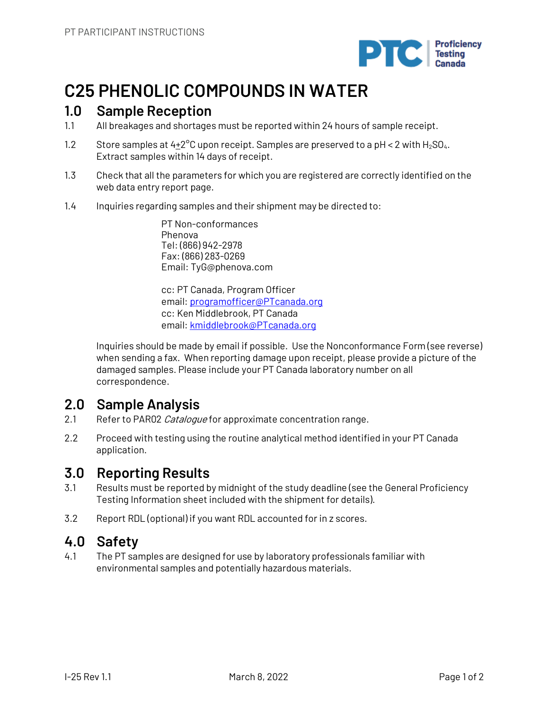

# **C25 PHENOLIC COMPOUNDS IN WATER**

# **1.0 Sample Reception**

- 1.1 All breakages and shortages must be reported within 24 hours of sample receipt.
- 1.2 Store samples at  $4+2^{\circ}$ C upon receipt. Samples are preserved to a pH < 2 with H<sub>2</sub>SO<sub>4</sub>. Extract samples within 14 days of receipt.
- 1.3 Check that all the parameters for which you are registered are correctly identified on the web data entry report page.
- 1.4 Inquiries regarding samples and their shipment may be directed to:

PT Non-conformances Phenova Tel: (866) 942-2978 Fax: (866) 283-0269 Email: TyG@phenova.com

cc: PT Canada, Program Officer email: programofficer@PTcanada.org cc: Ken Middlebrook, PT Canada email: kmiddlebrook@PTcanada.org

Inquiries should be made by email if possible. Use the Nonconformance Form (see reverse) when sending a fax. When reporting damage upon receipt, please provide a picture of the damaged samples. Please include your PT Canada laboratory number on all correspondence.

# **2.0 Sample Analysis**

- 2.1 Refer to PAR02 Catalogue for approximate concentration range.
- 2.2 Proceed with testing using the routine analytical method identified in your PT Canada application.

## **3.0 Reporting Results**

- 3.1 Results must be reported by midnight of the study deadline (see the General Proficiency Testing Information sheet included with the shipment for details).
- 3.2 Report RDL (optional) if you want RDL accounted for in z scores.

## **4.0 Safety**

4.1 The PT samples are designed for use by laboratory professionals familiar with environmental samples and potentially hazardous materials.